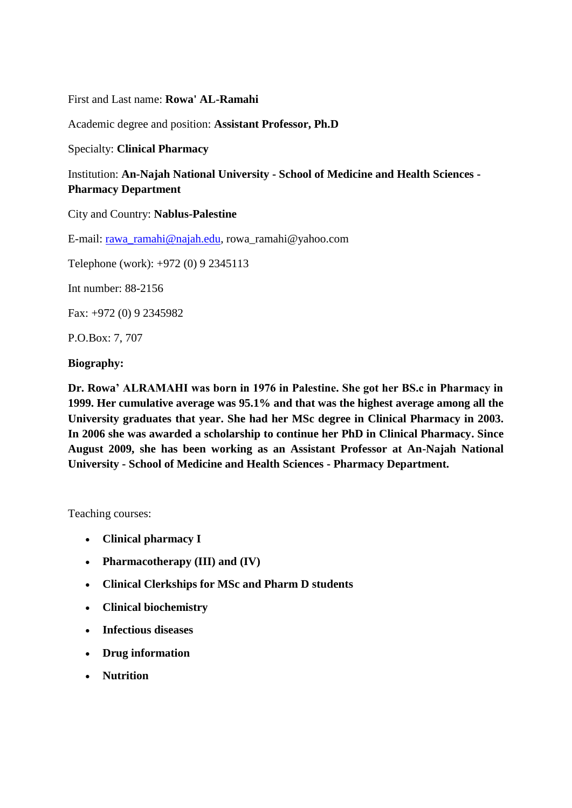First and Last name: **Rowa' AL-Ramahi**

Academic degree and position: **Assistant Professor, Ph.D**

Specialty: **Clinical Pharmacy**

Institution: **An-Najah National University - School of Medicine and Health Sciences - Pharmacy Department**

City and Country: **Nablus-Palestine**

E-mail: [rawa\\_ramahi@najah.edu,](mailto:rawa_ramahi@najah.edu) rowa\_ramahi@yahoo.com

Telephone (work): +972 (0) 9 2345113

Int number: 88-2156

Fax: +972 (0) 9 2345982

P.O.Box: 7, 707

## **Biography:**

**Dr. Rowa' ALRAMAHI was born in 1976 in Palestine. She got her BS.c in Pharmacy in 1999. Her cumulative average was 95.1% and that was the highest average among all the University graduates that year. She had her MSc degree in Clinical Pharmacy in 2003. In 2006 she was awarded a scholarship to continue her PhD in Clinical Pharmacy. Since August 2009, she has been working as an Assistant Professor at An-Najah National University - School of Medicine and Health Sciences - Pharmacy Department.**

Teaching courses:

- **Clinical pharmacy I**
- **Pharmacotherapy (III) and (IV)**
- **Clinical Clerkships for MSc and Pharm D students**
- **Clinical biochemistry**
- **Infectious diseases**
- **Drug information**
- **Nutrition**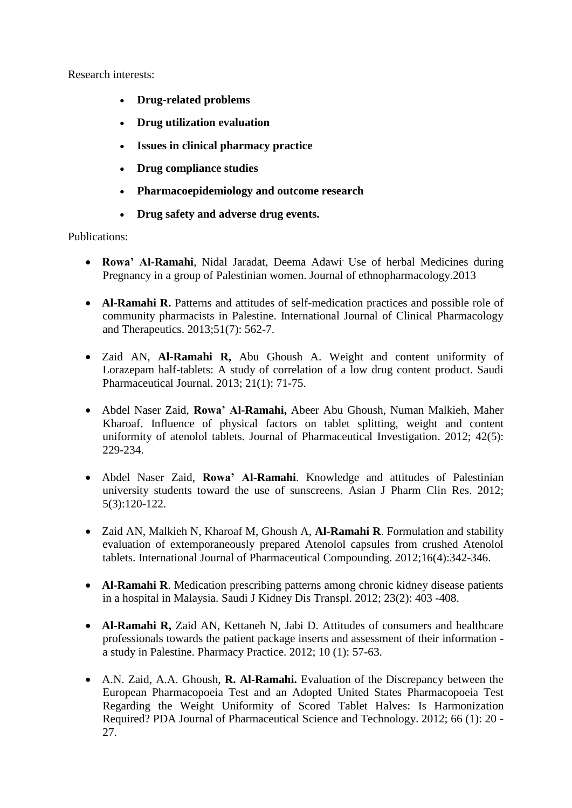Research interests:

- **Drug-related problems**
- **Drug utilization evaluation**
- **Issues in clinical pharmacy practice**
- **Drug compliance studies**
- **Pharmacoepidemiology and outcome research**
- **Drug safety and adverse drug events.**

## Publications:

- **Rowa' Al-Ramahi**, Nidal Jaradat, Deema Adawi. Use of herbal Medicines during Pregnancy in a group of Palestinian women. Journal of ethnopharmacology.2013
- **Al-Ramahi R.** Patterns and attitudes of self-medication practices and possible role of community pharmacists in Palestine. International Journal of Clinical Pharmacology and Therapeutics. 2013;51(7): 562-7.
- Zaid AN, **Al-Ramahi R,** Abu Ghoush A. Weight and content uniformity of Lorazepam half-tablets: A study of correlation of a low drug content product. Saudi Pharmaceutical Journal. 2013; 21(1): 71-75.
- Abdel Naser Zaid, **Rowa' Al-Ramahi,** Abeer Abu Ghoush, Numan Malkieh, Maher Kharoaf. Influence of physical factors on tablet splitting, weight and content uniformity of atenolol tablets. Journal of Pharmaceutical Investigation. 2012; 42(5): 229-234.
- Abdel Naser Zaid, **Rowa' Al-Ramahi**. Knowledge and attitudes of Palestinian university students toward the use of sunscreens. Asian J Pharm Clin Res. 2012; 5(3):120-122.
- Zaid AN, Malkieh N, Kharoaf M, Ghoush A, **Al-Ramahi R**. Formulation and stability evaluation of extemporaneously prepared Atenolol capsules from crushed Atenolol tablets. International Journal of Pharmaceutical Compounding. 2012;16(4):342-346.
- **Al-Ramahi R**. Medication prescribing patterns among chronic kidney disease patients in a hospital in Malaysia. Saudi J Kidney Dis Transpl. 2012; 23(2): 403 -408.
- **Al-Ramahi R,** Zaid AN, Kettaneh N, Jabi D. Attitudes of consumers and healthcare professionals towards the patient package inserts and assessment of their information a study in Palestine. Pharmacy Practice. 2012; 10 (1): 57-63.
- A.N. Zaid, A.A. Ghoush, **R. Al-Ramahi.** Evaluation of the Discrepancy between the European Pharmacopoeia Test and an Adopted United States Pharmacopoeia Test Regarding the Weight Uniformity of Scored Tablet Halves: Is Harmonization Required? PDA Journal of Pharmaceutical Science and Technology. 2012; 66 (1): 20 - 27.